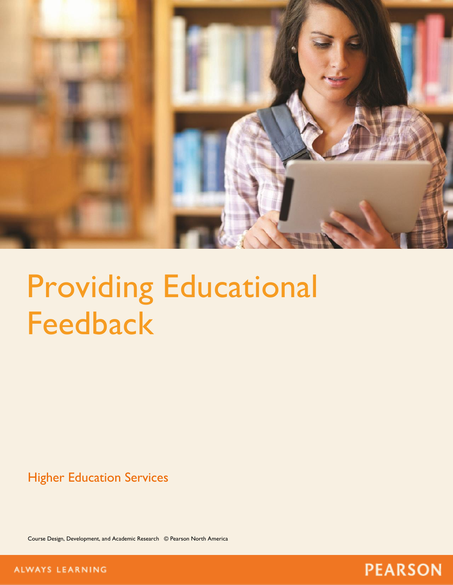

# Providing Educational Feedback

Higher Education Services

Course Design, Development, and Academic Research © Pearson North America



**ALWAYS LEARNING**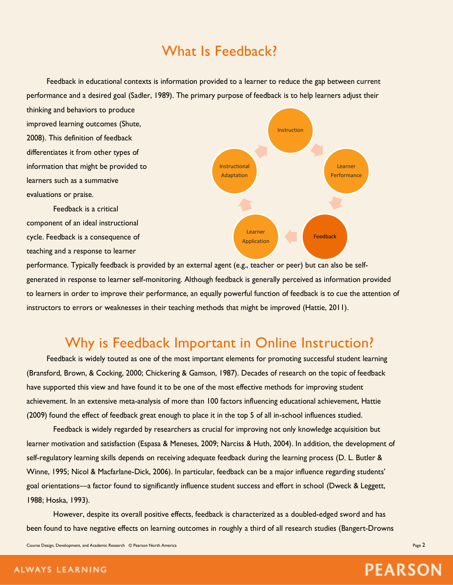# What Is Feedback?

Feedback in educational contexts is information provided to a learner to reduce the gap between current performance and a desired goal (Sadler, 1989). The primary purpose of feedback is to help learners adjust their

thinking and behaviors to produce improved learning outcomes (Shute, 2008). This definition of feedback differentiates it from other types of information that might be provided to learners such as a summative evaluations or praise.

Feedback is a critical component of an ideal instructional cycle. Feedback is a consequence of teaching and a response to learner



performance. Typically feedback is provided by an external agent (e.g., teacher or peer) but can also be selfgenerated in response to learner self-monitoring. Although feedback is generally perceived as information provided to learners in order to improve their performance, an equally powerful function of feedback is to cue the attention of instructors to errors or weaknesses in their teaching methods that might be improved (Hattie, 2011).

# Why is Feedback Important in Online Instruction?

Feedback is widely touted as one of the most important elements for promoting successful student learning (Bransford, Brown, & Cocking, 2000; Chickering & Gamson, 1987). Decades of research on the topic of feedback have supported this view and have found it to be one of the most effective methods for improving student achievement. In an extensive meta-analysis of more than 100 factors influencing educational achievement, Hattie (2009) found the effect of feedback great enough to place it in the top 5 of all in-school influences studied.

Feedback is widely regarded by researchers as crucial for improving not only knowledge acquisition but learner motivation and satisfaction (Espasa & Meneses, 2009; Narciss & Huth, 2004). In addition, the development of self-regulatory learning skills depends on receiving adequate feedback during the learning process (D. L. Butler & Winne, 1995; Nicol & Macfarlane-Dick, 2006). In particular, feedback can be a major influence regarding students' goal orientations—a factor found to significantly influence student success and effort in school (Dweck & Leggett, 1988; Hoska, 1993).

However, despite its overall positive effects, feedback is characterized as a doubled-edged sword and has been found to have negative effects on learning outcomes in roughly a third of all research studies (Bangert-Drowns

Course Design, Development, and Academic Research © Pearson North America Page 2 and 2008 and 2009 and 2009 and 2009 and 2009 and 2009 and 2009 and 2009 and 2009 and 2009 and 2009 and 2009 and 2009 and 2009 and 2009 and 20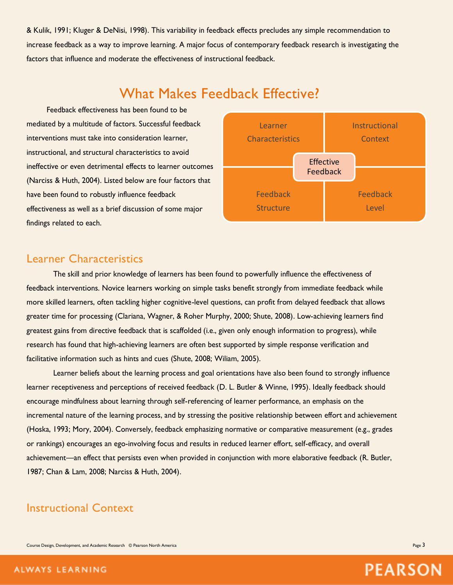& Kulik, 1991; Kluger & DeNisi, 1998). This variability in feedback effects precludes any simple recommendation to increase feedback as a way to improve learning. A major focus of contemporary feedback research is investigating the factors that influence and moderate the effectiveness of instructional feedback.

# What Makes Feedback Effective?

Feedback effectiveness has been found to be mediated by a multitude of factors. Successful feedback interventions must take into consideration learner, instructional, and structural characteristics to avoid ineffective or even detrimental effects to learner outcomes (Narciss & Huth, 2004). Listed below are four factors that have been found to robustly influence feedback effectiveness as well as a brief discussion of some major findings related to each.



## Learner Characteristics

The skill and prior knowledge of learners has been found to powerfully influence the effectiveness of feedback interventions. Novice learners working on simple tasks benefit strongly from immediate feedback while more skilled learners, often tackling higher cognitive-level questions, can profit from delayed feedback that allows greater time for processing (Clariana, Wagner, & Roher Murphy, 2000; Shute, 2008). Low-achieving learners find greatest gains from directive feedback that is scaffolded (i.e., given only enough information to progress), while research has found that high-achieving learners are often best supported by simple response verification and facilitative information such as hints and cues (Shute, 2008; Wiliam, 2005).

Learner beliefs about the learning process and goal orientations have also been found to strongly influence learner receptiveness and perceptions of received feedback (D. L. Butler & Winne, 1995). Ideally feedback should encourage mindfulness about learning through self-referencing of learner performance, an emphasis on the incremental nature of the learning process, and by stressing the positive relationship between effort and achievement (Hoska, 1993; Mory, 2004). Conversely, feedback emphasizing normative or comparative measurement (e.g., grades or rankings) encourages an ego-involving focus and results in reduced learner effort, self-efficacy, and overall achievement—an effect that persists even when provided in conjunction with more elaborative feedback (R. Butler, 1987; Chan & Lam, 2008; Narciss & Huth, 2004).

## Instructional Context

Course Design, Development, and Academic Research © Pearson North America Page 3 and 2008 and 2008 and 2008 and 2008 and 2008 and 2008 and 2008 and 2008 and 2008 and 2008 and 2008 and 2008 and 2008 and 2008 and 2008 and 20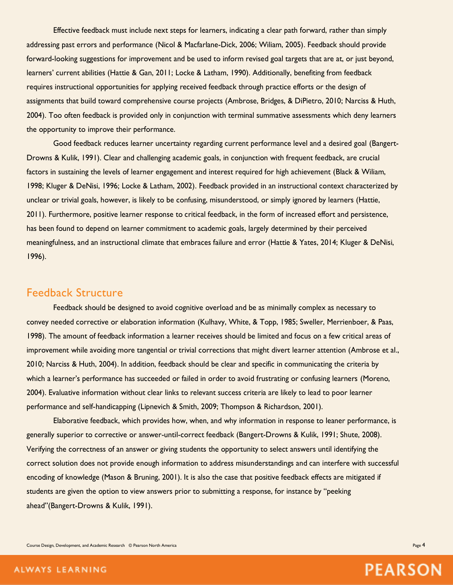Effective feedback must include next steps for learners, indicating a clear path forward, rather than simply addressing past errors and performance (Nicol & Macfarlane-Dick, 2006; Wiliam, 2005). Feedback should provide forward-looking suggestions for improvement and be used to inform revised goal targets that are at, or just beyond, learners' current abilities (Hattie & Gan, 2011; Locke & Latham, 1990). Additionally, benefiting from feedback requires instructional opportunities for applying received feedback through practice efforts or the design of assignments that build toward comprehensive course projects (Ambrose, Bridges, & DiPietro, 2010; Narciss & Huth, 2004). Too often feedback is provided only in conjunction with terminal summative assessments which deny learners the opportunity to improve their performance.

Good feedback reduces learner uncertainty regarding current performance level and a desired goal (Bangert-Drowns & Kulik, 1991). Clear and challenging academic goals, in conjunction with frequent feedback, are crucial factors in sustaining the levels of learner engagement and interest required for high achievement (Black & Wiliam, 1998; Kluger & DeNisi, 1996; Locke & Latham, 2002). Feedback provided in an instructional context characterized by unclear or trivial goals, however, is likely to be confusing, misunderstood, or simply ignored by learners (Hattie, 2011). Furthermore, positive learner response to critical feedback, in the form of increased effort and persistence, has been found to depend on learner commitment to academic goals, largely determined by their perceived meaningfulness, and an instructional climate that embraces failure and error (Hattie & Yates, 2014; Kluger & DeNisi, 1996).

### Feedback Structure

Feedback should be designed to avoid cognitive overload and be as minimally complex as necessary to convey needed corrective or elaboration information (Kulhavy, White, & Topp, 1985; Sweller, Merrienboer, & Paas, 1998). The amount of feedback information a learner receives should be limited and focus on a few critical areas of improvement while avoiding more tangential or trivial corrections that might divert learner attention (Ambrose et al., 2010; Narciss & Huth, 2004). In addition, feedback should be clear and specific in communicating the criteria by which a learner's performance has succeeded or failed in order to avoid frustrating or confusing learners (Moreno, 2004). Evaluative information without clear links to relevant success criteria are likely to lead to poor learner performance and self-handicapping (Lipnevich & Smith, 2009; Thompson & Richardson, 2001).

Elaborative feedback, which provides how, when, and why information in response to leaner performance, is generally superior to corrective or answer-until-correct feedback (Bangert-Drowns & Kulik, 1991; Shute, 2008). Verifying the correctness of an answer or giving students the opportunity to select answers until identifying the correct solution does not provide enough information to address misunderstandings and can interfere with successful encoding of knowledge (Mason & Bruning, 2001). It is also the case that positive feedback effects are mitigated if students are given the option to view answers prior to submitting a response, for instance by "peeking ahead"(Bangert-Drowns & Kulik, 1991).

Course Design, Development, and Academic Research © Pearson North America Page 4 and 2008 and 2008 and 2008 and 2008 and 2008 and 2008 and 2008 and 2008 and 2008 and 2008 and 2008 and 2008 and 2008 and 2008 and 2008 and 20

**PEARSON** 

#### ALWAYS LEARNING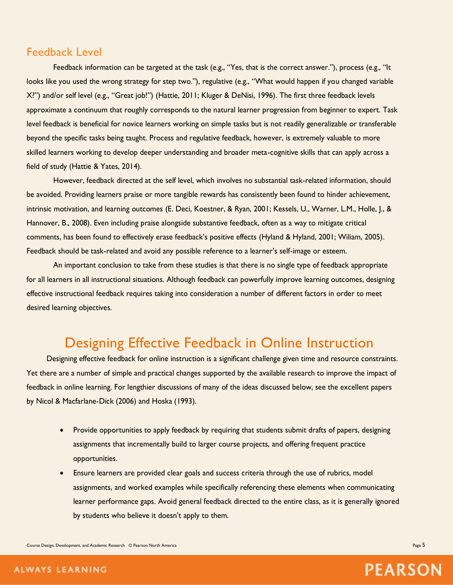## Feedback Level

Feedback information can be targeted at the task (e.g., "Yes, that is the correct answer."), process (e.g., "It looks like you used the wrong strategy for step two."), regulative (e.g., "What would happen if you changed variable X?") and/or self level (e.g., "Great job!") (Hattie, 2011; Kluger & DeNisi, 1996). The first three feedback levels approximate a continuum that roughly corresponds to the natural learner progression from beginner to expert. Task level feedback is beneficial for novice learners working on simple tasks but is not readily generalizable or transferable beyond the specific tasks being taught. Process and regulative feedback, however, is extremely valuable to more skilled learners working to develop deeper understanding and broader meta-cognitive skills that can apply across a field of study (Hattie & Yates, 2014).

However, feedback directed at the self level, which involves no substantial task-related information, should be avoided. Providing learners praise or more tangible rewards has consistently been found to hinder achievement, intrinsic motivation, and learning outcomes (E. Deci, Koestner, & Ryan, 2001; Kessels, U., Warner, L.M., Holle, J., & Hannover, B., 2008). Even including praise alongside substantive feedback, often as a way to mitigate critical comments, has been found to effectively erase feedback's positive effects (Hyland & Hyland, 2001; Wiliam, 2005). Feedback should be task-related and avoid any possible reference to a learner's self-image or esteem.

An important conclusion to take from these studies is that there is no single type of feedback appropriate for all learners in all instructional situations. Although feedback can powerfully improve learning outcomes, designing effective instructional feedback requires taking into consideration a number of different factors in order to meet desired learning objectives.

## Designing Effective Feedback in Online Instruction

Designing effective feedback for online instruction is a significant challenge given time and resource constraints. Yet there are a number of simple and practical changes supported by the available research to improve the impact of feedback in online learning. For lengthier discussions of many of the ideas discussed below, see the excellent papers by Nicol & Macfarlane-Dick (2006) and Hoska (1993).

- Provide opportunities to apply feedback by requiring that students submit drafts of papers, designing assignments that incrementally build to larger course projects, and offering frequent practice opportunities.
- Ensure learners are provided clear goals and success criteria through the use of rubrics, model assignments, and worked examples while specifically referencing these elements when communicating learner performance gaps. Avoid general feedback directed to the entire class, as it is generally ignored by students who believe it doesn't apply to them.

Course Design, Development, and Academic Research © Pearson North America Page 5 and Design and Design and Design and Academic Research © Pearson North America Page 5 and Design and Academic Research © Pearson North Americ

**PEARSON** 

#### ALWAYS LEARNING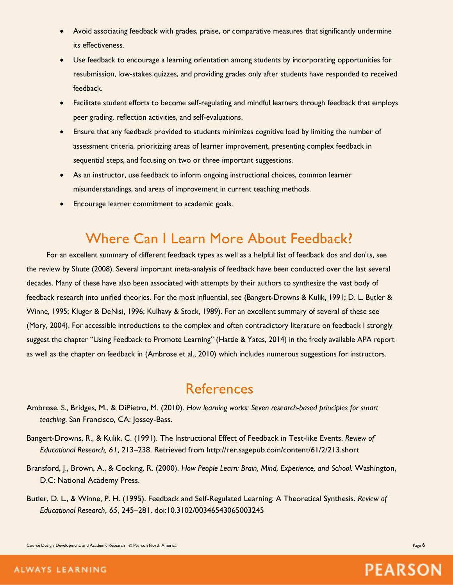- Avoid associating feedback with grades, praise, or comparative measures that significantly undermine its effectiveness.
- Use feedback to encourage a learning orientation among students by incorporating opportunities for resubmission, low-stakes quizzes, and providing grades only after students have responded to received feedback.
- Facilitate student efforts to become self-regulating and mindful learners through feedback that employs peer grading, reflection activities, and self-evaluations.
- Ensure that any feedback provided to students minimizes cognitive load by limiting the number of assessment criteria, prioritizing areas of learner improvement, presenting complex feedback in sequential steps, and focusing on two or three important suggestions.
- As an instructor, use feedback to inform ongoing instructional choices, common learner misunderstandings, and areas of improvement in current teaching methods.
- Encourage learner commitment to academic goals.

# Where Can I Learn More About Feedback?

For an excellent summary of different feedback types as well as a helpful list of feedback dos and don'ts, see the review by Shute (2008). Several important meta-analysis of feedback have been conducted over the last several decades. Many of these have also been associated with attempts by their authors to synthesize the vast body of feedback research into unified theories. For the most influential, see (Bangert-Drowns & Kulik, 1991; D. L. Butler & Winne, 1995; Kluger & DeNisi, 1996; Kulhavy & Stock, 1989). For an excellent summary of several of these see (Mory, 2004). For accessible introductions to the complex and often contradictory literature on feedback I strongly suggest the chapter "Using Feedback to Promote Learning" (Hattie & Yates, 2014) in the freely available APA report as well as the chapter on feedback in (Ambrose et al., 2010) which includes numerous suggestions for instructors.

## References

- Ambrose, S., Bridges, M., & DiPietro, M. (2010). *How learning works: Seven research-based principles for smart teaching*. San Francisco, CA: Jossey-Bass.
- Bangert-Drowns, R., & Kulik, C. (1991). The Instructional Effect of Feedback in Test-like Events. *Review of Educational Research, 61*, 213–238. Retrieved from http://rer.sagepub.com/content/61/2/213.short
- Bransford, J., Brown, A., & Cocking, R. (2000). *How People Learn: Brain, Mind, Experience, and School.* Washington, D.C: National Academy Press.
- Butler, D. L., & Winne, P. H. (1995). Feedback and Self-Regulated Learning: A Theoretical Synthesis. *Review of Educational Research*, *65*, 245–281. doi:10.3102/00346543065003245

Course Design, Development, and Academic Research © Pearson North America Page 6 and Courses and Courses and Courses and Courses and Courses and Courses and Academic Research © Pearson North America Page 6 and Courses and

**PEARSON**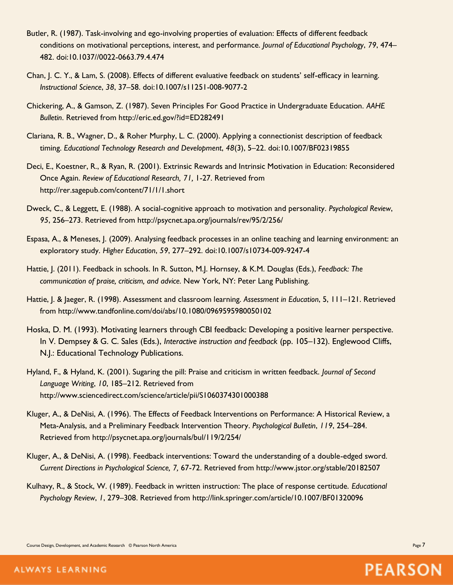- Butler, R. (1987). Task-involving and ego-involving properties of evaluation: Effects of different feedback conditions on motivational perceptions, interest, and performance. *Journal of Educational Psychology*, *79*, 474– 482. doi:10.1037//0022-0663.79.4.474
- Chan, J. C. Y., & Lam, S. (2008). Effects of different evaluative feedback on students' self-efficacy in learning. *Instructional Science*, *38*, 37–58. doi:10.1007/s11251-008-9077-2
- Chickering, A., & Gamson, Z. (1987). Seven Principles For Good Practice in Undergraduate Education. *AAHE Bulletin*. Retrieved from http://eric.ed.gov/?id=ED282491
- Clariana, R. B., Wagner, D., & Roher Murphy, L. C. (2000). Applying a connectionist description of feedback timing. *Educational Technology Research and Development*, *48*(3), 5–22. doi:10.1007/BF02319855
- Deci, E., Koestner, R., & Ryan, R. (2001). Extrinsic Rewards and Intrinsic Motivation in Education: Reconsidered Once Again. *Review of Educational Research, 71,* 1-27. Retrieved from http://rer.sagepub.com/content/71/1/1.short
- Dweck, C., & Leggett, E. (1988). A social-cognitive approach to motivation and personality. *Psychological Review*, *95*, 256–273. Retrieved from http://psycnet.apa.org/journals/rev/95/2/256/
- Espasa, A., & Meneses, J. (2009). Analysing feedback processes in an online teaching and learning environment: an exploratory study. *Higher Education*, *59*, 277–292. doi:10.1007/s10734-009-9247-4
- Hattie, J. (2011). Feedback in schools. In R. Sutton, M.J. Hornsey, & K.M. Douglas (Eds.), *Feedback: The communication of praise, criticism, and advice.* New York, NY: Peter Lang Publishing.
- Hattie, J. & Jaeger, R. (1998). Assessment and classroom learning. *Assessment in Education*, 5, 111–121. Retrieved from http://www.tandfonline.com/doi/abs/10.1080/0969595980050102
- Hoska, D. M. (1993). Motivating learners through CBI feedback: Developing a positive learner perspective. In V. Dempsey & G. C. Sales (Eds.), *Interactive instruction and feedback* (pp. 105–132). Englewood Cliffs, N.J.: Educational Technology Publications.
- Hyland, F., & Hyland, K. (2001). Sugaring the pill: Praise and criticism in written feedback. *Journal of Second Language Writing*, *10*, 185–212. Retrieved from http://www.sciencedirect.com/science/article/pii/S1060374301000388
- Kluger, A., & DeNisi, A. (1996). The Effects of Feedback Interventions on Performance: A Historical Review, a Meta-Analysis, and a Preliminary Feedback Intervention Theory. *Psychological Bulletin*, *119*, 254–284. Retrieved from http://psycnet.apa.org/journals/bul/119/2/254/
- Kluger, A., & DeNisi, A. (1998). Feedback interventions: Toward the understanding of a double-edged sword. *Current Directions in Psychological Science, 7,* 67-72. Retrieved from http://www.jstor.org/stable/20182507
- Kulhavy, R., & Stock, W. (1989). Feedback in written instruction: The place of response certitude. *Educational Psychology Review*, *1*, 279–308. Retrieved from http://link.springer.com/article/10.1007/BF01320096

Course Design, Development, and Academic Research © Pearson North America Page 7 and 2008 and 2009 and 2009 and 2009 and 2009 and 2009 and 2009 and 2009 and 2009 and 2009 and 2009 and 2009 and 2009 and 2009 and 2009 and 20

**PEARSON**